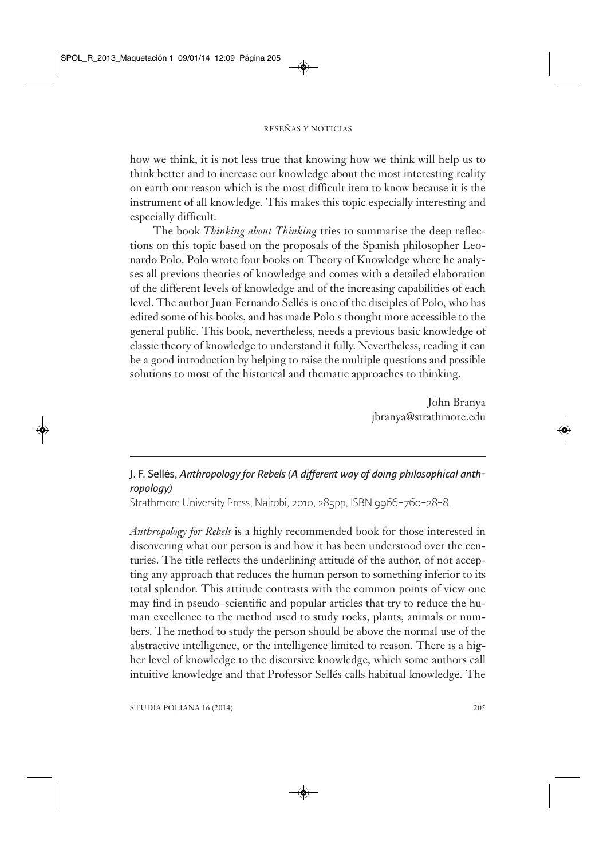## RESEÑAS Y NOTICIAS

how we think, it is not less true that knowing how we think will help us to think better and to increase our knowledge about the most interesting reality on earth our reason which is the most difficult item to know because it is the instrument of all knowledge. This makes this topic especially interesting and especially difficult.

The book *Thinking about Thinking* tries to summarise the deep reflections on this topic based on the proposals of the Spanish philosopher Leonardo Polo. Polo wrote four books on Theory of Knowledge where he analyses all previous theories of knowledge and comes with a detailed elaboration of the different levels of knowledge and of the increasing capabilities of each level. The author Juan Fernando Sellés is one of the disciples of Polo, who has edited some of his books, and has made Polo s thought more accessible to the general public. This book, nevertheless, needs a previous basic knowledge of classic theory of knowledge to understand it fully. Nevertheless, reading it can be a good introduction by helping to raise the multiple questions and possible solutions to most of the historical and thematic approaches to thinking.

> John Branya jbranya@strathmore.edu

## **J. F. Sellés,** *Anthropology for Rebels (A different way of doing philosophical anthropology)*

Strathmore University Press, Nairobi, 2010, 285pp, ISBN 9966–760–28–8.

*Anthropology for Rebels* is a highly recommended book for those interested in discovering what our person is and how it has been understood over the centuries. The title reflects the underlining attitude of the author, of not accepting any approach that reduces the human person to something inferior to its total splendor. This attitude contrasts with the common points of view one may find in pseudo–scientific and popular articles that try to reduce the human excellence to the method used to study rocks, plants, animals or numbers. The method to study the person should be above the normal use of the abstractive intelligence, or the intelligence limited to reason. There is a higher level of knowledge to the discursive knowledge, which some authors call intuitive knowledge and that Professor Sellés calls habitual knowledge. The